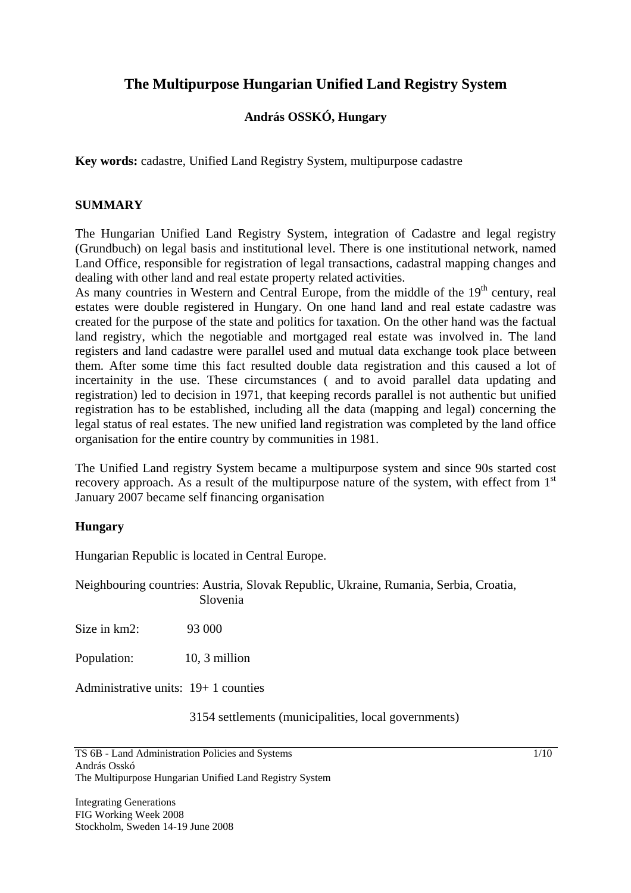# **The Multipurpose Hungarian Unified Land Registry System**

# **András OSSKÓ, Hungary**

**Key words:** cadastre, Unified Land Registry System, multipurpose cadastre

## **SUMMARY**

The Hungarian Unified Land Registry System, integration of Cadastre and legal registry (Grundbuch) on legal basis and institutional level. There is one institutional network, named Land Office, responsible for registration of legal transactions, cadastral mapping changes and dealing with other land and real estate property related activities.

As many countries in Western and Central Europe, from the middle of the 19<sup>th</sup> century, real estates were double registered in Hungary. On one hand land and real estate cadastre was created for the purpose of the state and politics for taxation. On the other hand was the factual land registry, which the negotiable and mortgaged real estate was involved in. The land registers and land cadastre were parallel used and mutual data exchange took place between them. After some time this fact resulted double data registration and this caused a lot of incertainity in the use. These circumstances ( and to avoid parallel data updating and registration) led to decision in 1971, that keeping records parallel is not authentic but unified registration has to be established, including all the data (mapping and legal) concerning the legal status of real estates. The new unified land registration was completed by the land office organisation for the entire country by communities in 1981.

The Unified Land registry System became a multipurpose system and since 90s started cost recovery approach. As a result of the multipurpose nature of the system, with effect from  $1<sup>st</sup>$ January 2007 became self financing organisation

# **Hungary**

Hungarian Republic is located in Central Europe.

Neighbouring countries: Austria, Slovak Republic, Ukraine, Rumania, Serbia, Croatia, Slovenia

Size in  $km2$ : 93 000

Population: 10, 3 million

Administrative units: 19+ 1 counties

3154 settlements (municipalities, local governments)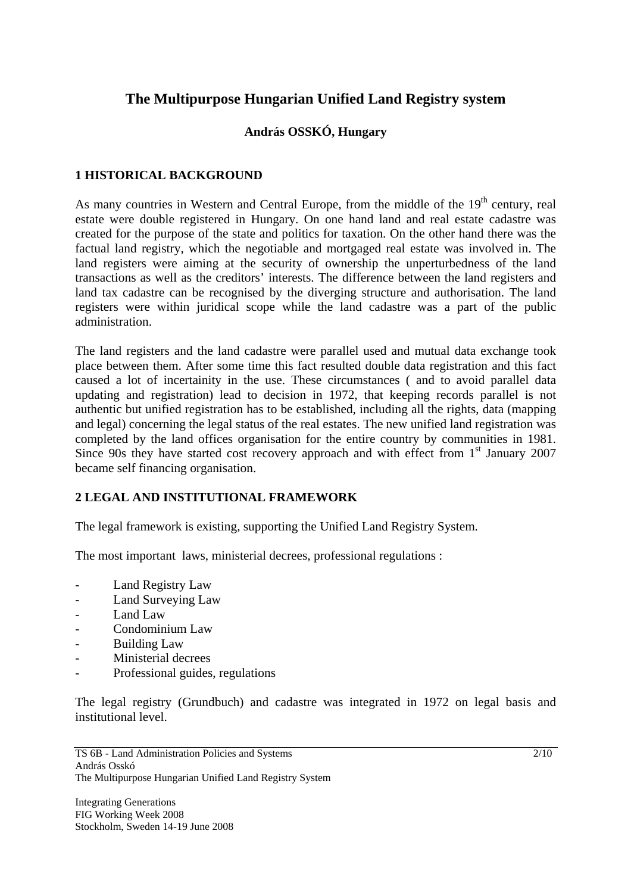# **The Multipurpose Hungarian Unified Land Registry system**

# **András OSSKÓ, Hungary**

# **1 HISTORICAL BACKGROUND**

As many countries in Western and Central Europe, from the middle of the 19<sup>th</sup> century, real estate were double registered in Hungary. On one hand land and real estate cadastre was created for the purpose of the state and politics for taxation. On the other hand there was the factual land registry, which the negotiable and mortgaged real estate was involved in. The land registers were aiming at the security of ownership the unperturbedness of the land transactions as well as the creditors' interests. The difference between the land registers and land tax cadastre can be recognised by the diverging structure and authorisation. The land registers were within juridical scope while the land cadastre was a part of the public administration.

The land registers and the land cadastre were parallel used and mutual data exchange took place between them. After some time this fact resulted double data registration and this fact caused a lot of incertainity in the use. These circumstances ( and to avoid parallel data updating and registration) lead to decision in 1972, that keeping records parallel is not authentic but unified registration has to be established, including all the rights, data (mapping and legal) concerning the legal status of the real estates. The new unified land registration was completed by the land offices organisation for the entire country by communities in 1981. Since 90s they have started cost recovery approach and with effect from  $1<sup>st</sup>$  January 2007 became self financing organisation.

# **2 LEGAL AND INSTITUTIONAL FRAMEWORK**

The legal framework is existing, supporting the Unified Land Registry System.

The most important laws, ministerial decrees, professional regulations :

- Land Registry Law
- Land Surveying Law
- Land Law
- Condominium Law
- Building Law
- Ministerial decrees
- Professional guides, regulations

The legal registry (Grundbuch) and cadastre was integrated in 1972 on legal basis and institutional level.

TS 6B - Land Administration Policies and Systems András Osskó The Multipurpose Hungarian Unified Land Registry System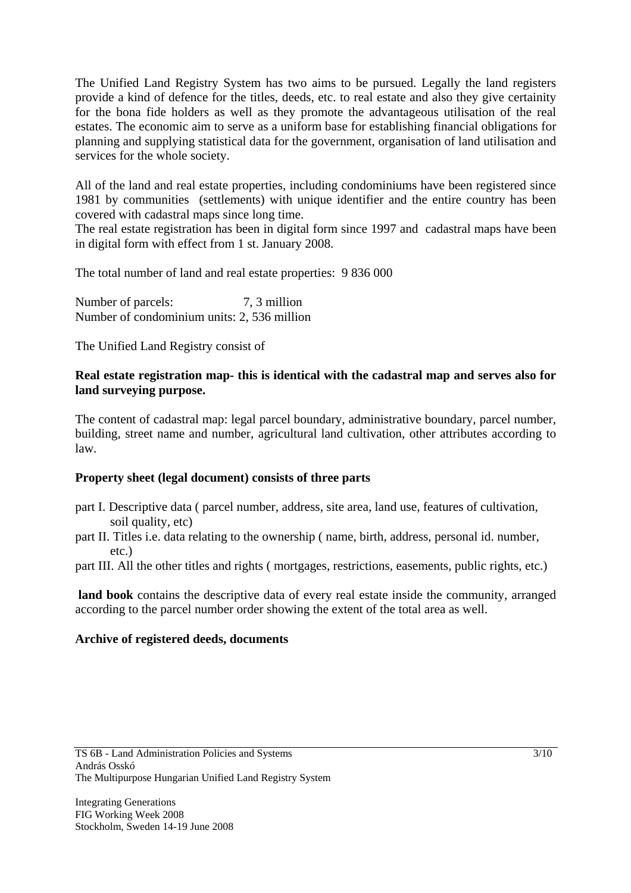The Unified Land Registry System has two aims to be pursued. Legally the land registers provide a kind of defence for the titles, deeds, etc. to real estate and also they give certainity for the bona fide holders as well as they promote the advantageous utilisation of the real estates. The economic aim to serve as a uniform base for establishing financial obligations for planning and supplying statistical data for the government, organisation of land utilisation and services for the whole society.

All of the land and real estate properties, including condominiums have been registered since 1981 by communities (settlements) with unique identifier and the entire country has been covered with cadastral maps since long time.

The real estate registration has been in digital form since 1997 and cadastral maps have been in digital form with effect from 1 st. January 2008.

The total number of land and real estate properties: 9 836 000

Number of parcels:  $7, 3$  million Number of condominium units: 2, 536 million

The Unified Land Registry consist of

# **Real estate registration map- this is identical with the cadastral map and serves also for land surveying purpose.**

The content of cadastral map: legal parcel boundary, administrative boundary, parcel number, building, street name and number, agricultural land cultivation, other attributes according to law.

# **Property sheet (legal document) consists of three parts**

- part I. Descriptive data ( parcel number, address, site area, land use, features of cultivation, soil quality, etc)
- part II. Titles i.e. data relating to the ownership ( name, birth, address, personal id. number, etc.)

part III. All the other titles and rights ( mortgages, restrictions, easements, public rights, etc.)

 **land book** contains the descriptive data of every real estate inside the community, arranged according to the parcel number order showing the extent of the total area as well.

# **Archive of registered deeds, documents**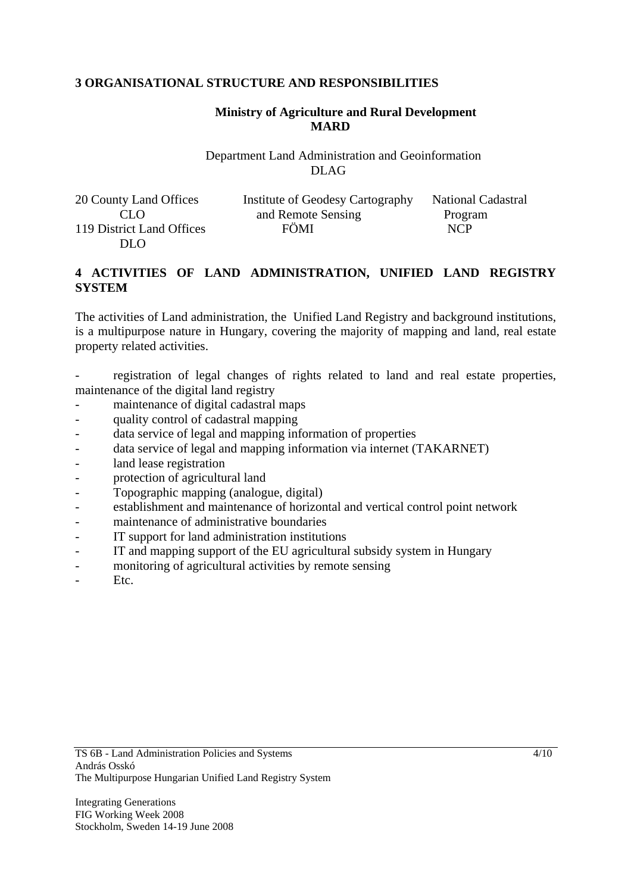## **3 ORGANISATIONAL STRUCTURE AND RESPONSIBILITIES**

# **Ministry of Agriculture and Rural Development MARD**

Department Land Administration and Geoinformation DLAG

| 20 County Land Offices    | Institute of Geodesy Cartography | <b>National Cadastral</b> |
|---------------------------|----------------------------------|---------------------------|
| CLO                       | and Remote Sensing               | Program                   |
| 119 District Land Offices | FÖMI                             | <b>NCP</b>                |
| DLO.                      |                                  |                           |

## **4 ACTIVITIES OF LAND ADMINISTRATION, UNIFIED LAND REGISTRY SYSTEM**

The activities of Land administration, the Unified Land Registry and background institutions, is a multipurpose nature in Hungary, covering the majority of mapping and land, real estate property related activities.

registration of legal changes of rights related to land and real estate properties, maintenance of the digital land registry

- maintenance of digital cadastral maps
- quality control of cadastral mapping
- data service of legal and mapping information of properties
- data service of legal and mapping information via internet (TAKARNET)
- land lease registration
- protection of agricultural land
- Topographic mapping (analogue, digital)
- establishment and maintenance of horizontal and vertical control point network
- maintenance of administrative boundaries
- IT support for land administration institutions
- IT and mapping support of the EU agricultural subsidy system in Hungary
- monitoring of agricultural activities by remote sensing
- Etc.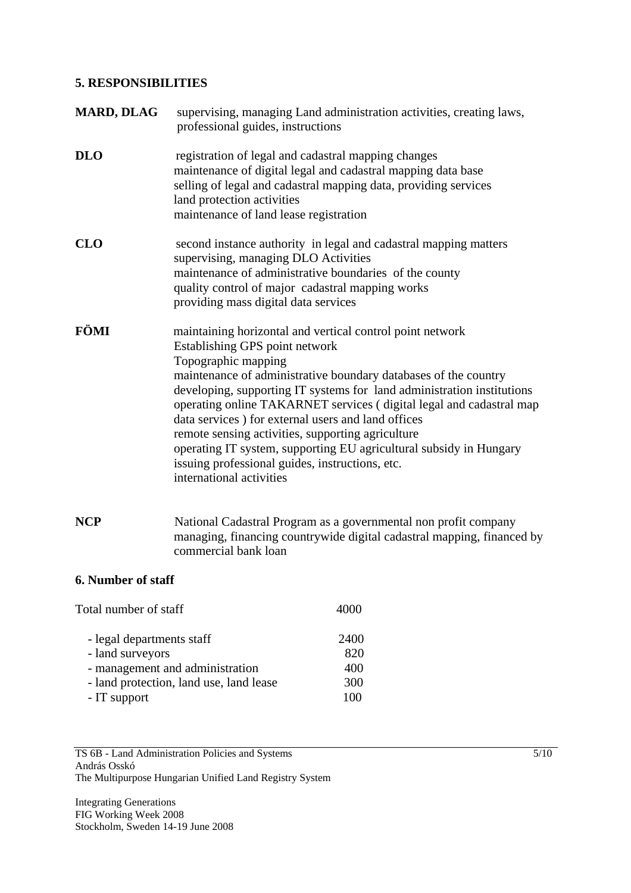## **5. RESPONSIBILITIES**

| <b>MARD, DLAG</b> | supervising, managing Land administration activities, creating laws,<br>professional guides, instructions                                                                                                                                                                                                                                                                                                                                                                                                                                                                                              |
|-------------------|--------------------------------------------------------------------------------------------------------------------------------------------------------------------------------------------------------------------------------------------------------------------------------------------------------------------------------------------------------------------------------------------------------------------------------------------------------------------------------------------------------------------------------------------------------------------------------------------------------|
| <b>DLO</b>        | registration of legal and cadastral mapping changes<br>maintenance of digital legal and cadastral mapping data base<br>selling of legal and cadastral mapping data, providing services<br>land protection activities<br>maintenance of land lease registration                                                                                                                                                                                                                                                                                                                                         |
| <b>CLO</b>        | second instance authority in legal and cadastral mapping matters<br>supervising, managing DLO Activities<br>maintenance of administrative boundaries of the county<br>quality control of major cadastral mapping works<br>providing mass digital data services                                                                                                                                                                                                                                                                                                                                         |
| FÖMI              | maintaining horizontal and vertical control point network<br>Establishing GPS point network<br>Topographic mapping<br>maintenance of administrative boundary databases of the country<br>developing, supporting IT systems for land administration institutions<br>operating online TAKARNET services (digital legal and cadastral map<br>data services) for external users and land offices<br>remote sensing activities, supporting agriculture<br>operating IT system, supporting EU agricultural subsidy in Hungary<br>issuing professional guides, instructions, etc.<br>international activities |

**NCP** National Cadastral Program as a governmental non profit company managing, financing countrywide digital cadastral mapping, financed by commercial bank loan

# **6. Number of staff**

| 4000 |
|------|
| 2400 |
| 820  |
| 400  |
| 300  |
| 100  |
|      |

TS 6B - Land Administration Policies and Systems András Osskó The Multipurpose Hungarian Unified Land Registry System

Integrating Generations FIG Working Week 2008 Stockholm, Sweden 14-19 June 2008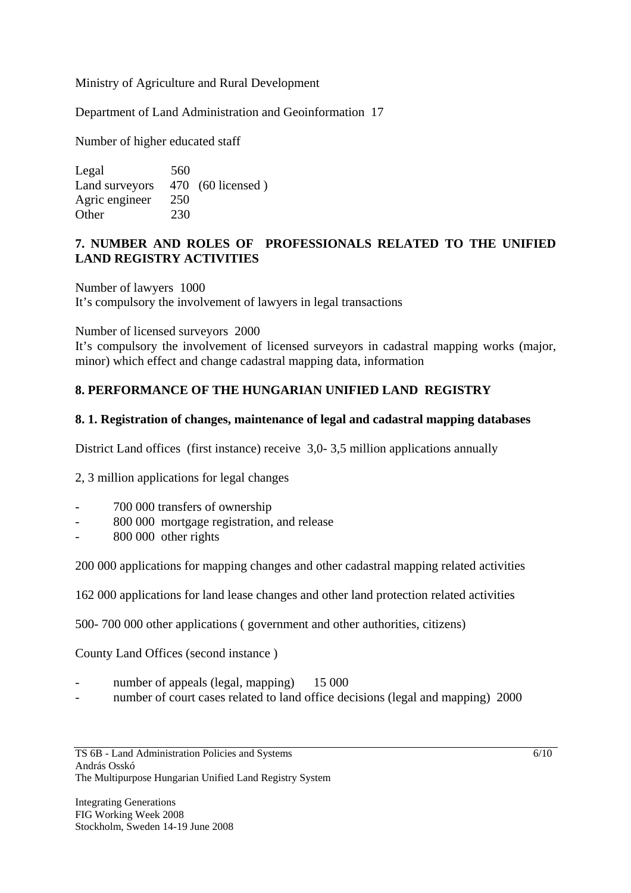Ministry of Agriculture and Rural Development

Department of Land Administration and Geoinformation 17

Number of higher educated staff

Legal 560 Land surveyors 470 (60 licensed) Agric engineer 250 Other 230

# **7. NUMBER AND ROLES OF PROFESSIONALS RELATED TO THE UNIFIED LAND REGISTRY ACTIVITIES**

Number of lawyers 1000 It's compulsory the involvement of lawyers in legal transactions

Number of licensed surveyors 2000

It's compulsory the involvement of licensed surveyors in cadastral mapping works (major, minor) which effect and change cadastral mapping data, information

# **8. PERFORMANCE OF THE HUNGARIAN UNIFIED LAND REGISTRY**

### **8. 1. Registration of changes, maintenance of legal and cadastral mapping databases**

District Land offices (first instance) receive 3,0- 3,5 million applications annually

2, 3 million applications for legal changes

- 700 000 transfers of ownership
- 800 000 mortgage registration, and release
- 800 000 other rights

200 000 applications for mapping changes and other cadastral mapping related activities

162 000 applications for land lease changes and other land protection related activities

500- 700 000 other applications ( government and other authorities, citizens)

County Land Offices (second instance )

- number of appeals (legal, mapping) 15 000
- number of court cases related to land office decisions (legal and mapping) 2000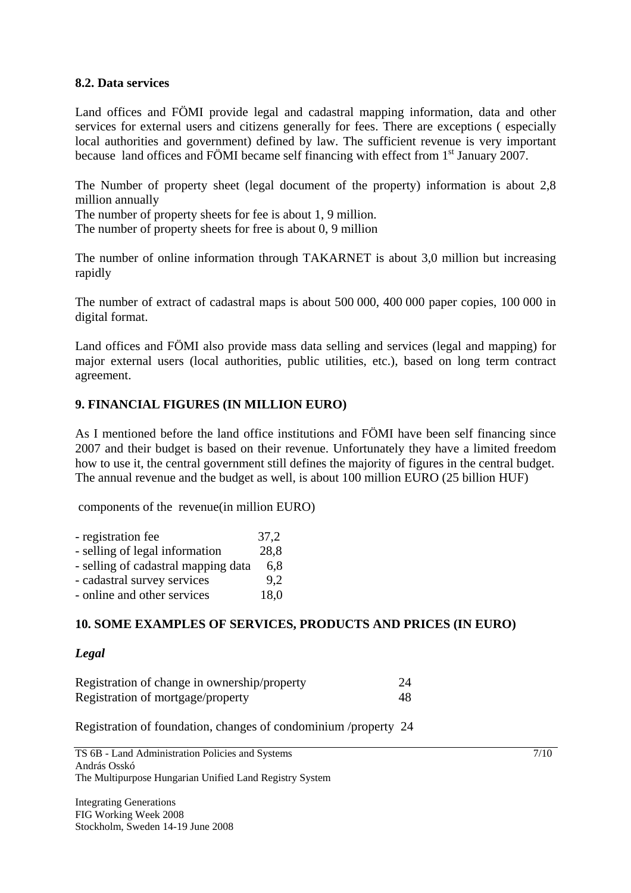### **8.2. Data services**

Land offices and FÖMI provide legal and cadastral mapping information, data and other services for external users and citizens generally for fees. There are exceptions ( especially local authorities and government) defined by law. The sufficient revenue is very important because land offices and FÖMI became self financing with effect from  $1<sup>st</sup>$  January 2007.

The Number of property sheet (legal document of the property) information is about 2,8 million annually

The number of property sheets for fee is about 1, 9 million.

The number of property sheets for free is about 0, 9 million

The number of online information through TAKARNET is about 3,0 million but increasing rapidly

The number of extract of cadastral maps is about 500 000, 400 000 paper copies, 100 000 in digital format.

Land offices and FÖMI also provide mass data selling and services (legal and mapping) for major external users (local authorities, public utilities, etc.), based on long term contract agreement.

# **9. FINANCIAL FIGURES (IN MILLION EURO)**

As I mentioned before the land office institutions and FÖMI have been self financing since 2007 and their budget is based on their revenue. Unfortunately they have a limited freedom how to use it, the central government still defines the majority of figures in the central budget. The annual revenue and the budget as well, is about 100 million EURO (25 billion HUF)

components of the revenue(in million EURO)

| - registration fee                  | 37,2 |
|-------------------------------------|------|
| - selling of legal information      | 28,8 |
| - selling of cadastral mapping data | 6.8  |
| - cadastral survey services         | 9.2  |
| - online and other services         | 18,0 |

# **10. SOME EXAMPLES OF SERVICES, PRODUCTS AND PRICES (IN EURO)**

### *Legal*

Registration of change in ownership/property 24 Registration of mortgage/property 48

Registration of foundation, changes of condominium /property 24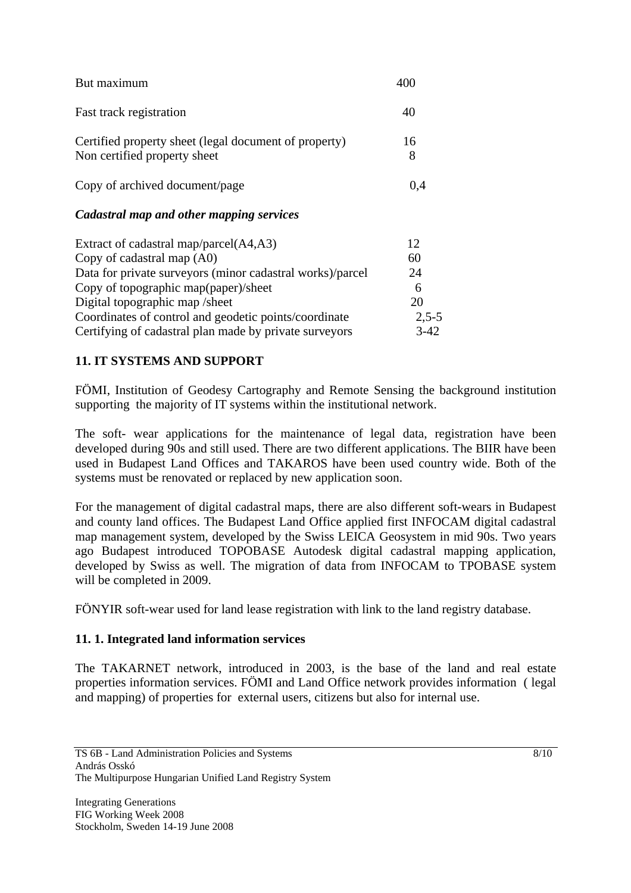| But maximum                                                                           | 400     |
|---------------------------------------------------------------------------------------|---------|
| Fast track registration                                                               | 40      |
| Certified property sheet (legal document of property)<br>Non certified property sheet | 16<br>8 |
| Copy of archived document/page                                                        | 0,4     |
| Cadastral map and other mapping services                                              |         |
| Extract of cadastral map/parcel(A4,A3)                                                | 12      |
| Copy of cadastral map (A0)                                                            | 60      |
| Data for private surveyors (minor cadastral works)/parcel                             | 24      |
| Copy of topographic map(paper)/sheet                                                  | 6       |
| Digital topographic map /sheet                                                        | 20      |
| Coordinates of control and geodetic points/coordinate                                 | $2,5-5$ |
| Certifying of cadastral plan made by private surveyors                                | 3-42    |

# **11. IT SYSTEMS AND SUPPORT**

FÖMI, Institution of Geodesy Cartography and Remote Sensing the background institution supporting the majority of IT systems within the institutional network.

The soft- wear applications for the maintenance of legal data, registration have been developed during 90s and still used. There are two different applications. The BIIR have been used in Budapest Land Offices and TAKAROS have been used country wide. Both of the systems must be renovated or replaced by new application soon.

For the management of digital cadastral maps, there are also different soft-wears in Budapest and county land offices. The Budapest Land Office applied first INFOCAM digital cadastral map management system, developed by the Swiss LEICA Geosystem in mid 90s. Two years ago Budapest introduced TOPOBASE Autodesk digital cadastral mapping application, developed by Swiss as well. The migration of data from INFOCAM to TPOBASE system will be completed in 2009.

FÖNYIR soft-wear used for land lease registration with link to the land registry database.

# **11. 1. Integrated land information services**

The TAKARNET network, introduced in 2003, is the base of the land and real estate properties information services. FÖMI and Land Office network provides information ( legal and mapping) of properties for external users, citizens but also for internal use.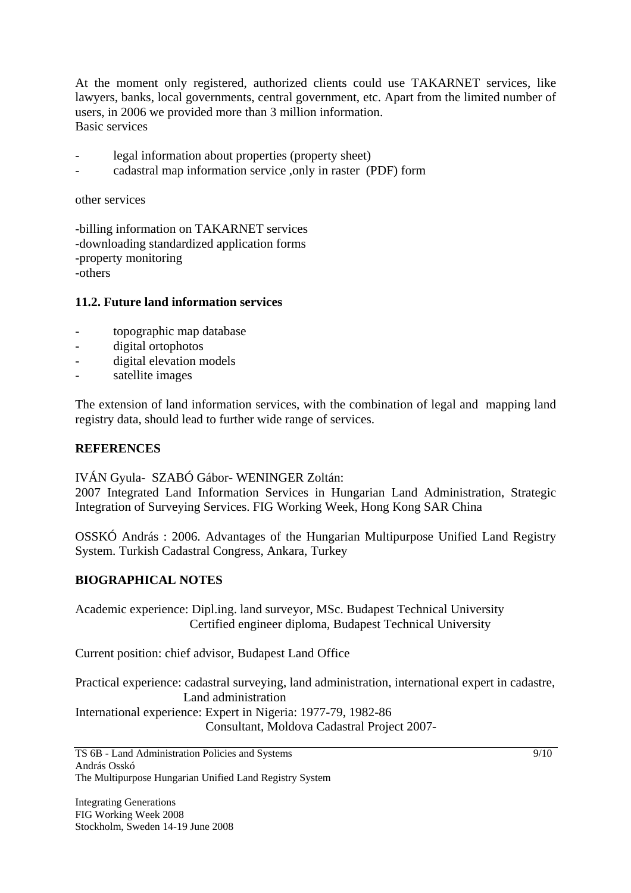At the moment only registered, authorized clients could use TAKARNET services, like lawyers, banks, local governments, central government, etc. Apart from the limited number of users, in 2006 we provided more than 3 million information. Basic services

- legal information about properties (property sheet)
- cadastral map information service ,only in raster (PDF) form

other services

-billing information on TAKARNET services -downloading standardized application forms -property monitoring -others

### **11.2. Future land information services**

- topographic map database
- digital ortophotos
- digital elevation models
- satellite images

The extension of land information services, with the combination of legal and mapping land registry data, should lead to further wide range of services.

### **REFERENCES**

IVÁN Gyula- SZABÓ Gábor- WENINGER Zoltán:

2007 Integrated Land Information Services in Hungarian Land Administration, Strategic Integration of Surveying Services. FIG Working Week, Hong Kong SAR China

OSSKÓ András : 2006. Advantages of the Hungarian Multipurpose Unified Land Registry System. Turkish Cadastral Congress, Ankara, Turkey

### **BIOGRAPHICAL NOTES**

Academic experience: Dipl.ing. land surveyor, MSc. Budapest Technical University Certified engineer diploma, Budapest Technical University

Current position: chief advisor, Budapest Land Office

Practical experience: cadastral surveying, land administration, international expert in cadastre, Land administration International experience: Expert in Nigeria: 1977-79, 1982-86 Consultant, Moldova Cadastral Project 2007-